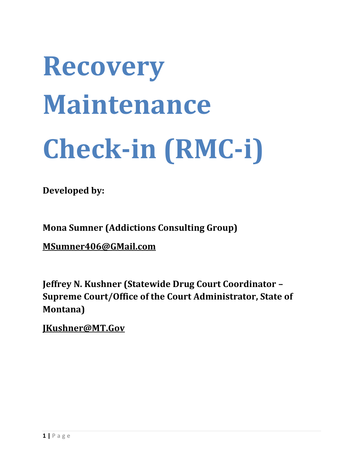# **Recovery Maintenance Check-in (RMC-i)**

**Developed by:**

**Mona Sumner (Addictions Consulting Group)**

**[MSumner406@GMail.com](mailto:MSumner406@GMail.com)**

**Jeffrey N. Kushner (Statewide Drug Court Coordinator – Supreme Court/Office of the Court Administrator, State of Montana)**

**JKushner@MT.Gov**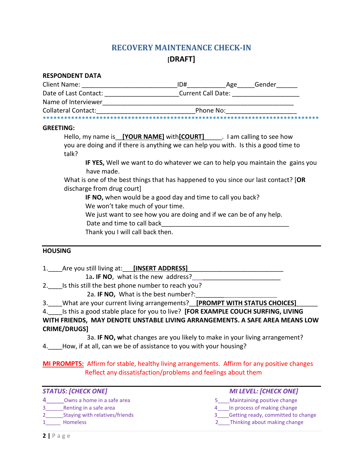# **RECOVERY MAINTENANCE CHECK-IN [DRAFT]**

| <b>RESPONDENT DATA</b>                                                                                            |  |                                                                               |
|-------------------------------------------------------------------------------------------------------------------|--|-------------------------------------------------------------------------------|
|                                                                                                                   |  |                                                                               |
| Date of Last Contact: _________________________Current Call Date: _______________                                 |  |                                                                               |
|                                                                                                                   |  |                                                                               |
| Collateral Contact: The Collateral Contact: The Collateral Contact:                                               |  |                                                                               |
|                                                                                                                   |  |                                                                               |
| <b>GREETING:</b>                                                                                                  |  |                                                                               |
| Hello, my name is [YOUR NAME] with [COURT] The lam calling to see how                                             |  |                                                                               |
| you are doing and if there is anything we can help you with. Is this a good time to<br>talk?                      |  |                                                                               |
| have made.                                                                                                        |  | IF YES, Well we want to do whatever we can to help you maintain the gains you |
| What is one of the best things that has happened to you since our last contact? [OR<br>discharge from drug court] |  |                                                                               |
| IF NO, when would be a good day and time to call you back?<br>We won't take much of your time.                    |  |                                                                               |
| We just want to see how you are doing and if we can be of any help.                                               |  |                                                                               |
| Thank you I will call back then.                                                                                  |  |                                                                               |

#### **HOUSING**

| 1. Are you still living at: [INSERT ADDRESS]                                       |
|------------------------------------------------------------------------------------|
| 1a. IF NO, what is the new address?                                                |
| 2. Is this still the best phone number to reach you?                               |
| 2a. IF NO, What is the best number?:                                               |
| 3. What are your current living arrangements? <b>[PROMPT WITH STATUS CHOICES]</b>  |
| 4. Is this a good stable place for you to live? [FOR EXAMPLE COUCH SURFING, LIVING |
| WITH FRIENDS, MAY DENOTE UNSTABLE LIVING ARRANGEMENTS. A SAFE AREA MEANS LOW       |
| <b>CRIME/DRUGS1</b>                                                                |

3a. **IF NO, w**hat changes are you likely to make in your living arrangement? 4.\_\_\_\_How, if at all, can we be of assistance to you with your housing?

**MI PROMPTS:** Affirm for stable, healthy living arrangements. Affirm for any positive changes Reflect any dissatisfaction/problems and feelings about them

| <b>STATUS: [CHECK ONE]</b>     | <b>MI LEVEL: [CHECK ONE]</b>       |  |
|--------------------------------|------------------------------------|--|
| Owns a home in a safe area     | Maintaining positive change        |  |
| Renting in a safe area         | In process of making change        |  |
| Staying with relatives/friends | Getting ready, committed to change |  |
| <b>Homeless</b>                | Thinking about making change       |  |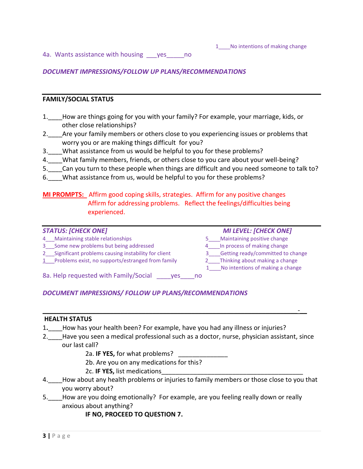4a. Wants assistance with housing \_\_\_yes\_\_\_\_\_no

#### *DOCUMENT IMPRESSIONS/FOLLOW UP PLANS/RECOMMENDATIONS*

#### **FAMILY/SOCIAL STATUS**

- 1.\_\_\_\_How are things going for you with your family? For example, your marriage, kids, or other close relationships?
- 2. Are your family members or others close to you experiencing issues or problems that worry you or are making things difficult for you?
- 3.\_\_\_\_What assistance from us would be helpful to you for these problems?
- 4. What family members, friends, or others close to you care about your well-being?
- 5. Can you turn to these people when things are difficult and you need someone to talk to?
- 6. What assistance from us, would be helpful to you for these problems?

#### **MI PROMPTS:** Affirm good coping skills, strategies. Affirm for any positive changes Affirm for addressing problems. Reflect the feelings/difficulties being experienced.

- 4 Maintaining stable relationships 6 and 10 minutes 5 and Maintaining positive change
- 3. Some new problems but being addressed 4. In process of making change
- 
- 1\_\_\_Problems exist, no supports/estranged from family 2\_\_\_\_Thinking about making a change
- *STATUS: [CHECK ONE] MI LEVEL: [CHECK ONE]*
	-
	-
- 2\_\_\_Significant problems causing instability for client 3\_\_\_\_\_Getting ready/committed to change
	- - 1 No intentions of making a change

8a. Help requested with Family/Social \_\_\_\_\_yes\_\_\_\_\_no

#### *DOCUMENT IMPRESSIONS/ FOLLOW UP PLANS/RECOMMENDATIONS*

#### **HEALTH STATUS**

- 1**.**\_\_\_\_How has your health been? For example, have you had any illness or injuries?
- 2. Have you seen a medical professional such as a doctor, nurse, physician assistant, since our last call?

 $\overline{\phantom{a}}$  , and the contract of the contract of the contract of the contract of the contract of the contract of the contract of the contract of the contract of the contract of the contract of the contract of the contrac

- 2a. **IF YES,** for what problems?
- 2b. Are you on any medications for this?
- 2c. **IF YES,** list medications\_\_\_\_\_\_\_\_\_\_\_\_\_\_\_\_\_\_\_\_\_\_\_\_\_\_\_\_\_\_\_\_\_\_\_\_\_\_\_\_
- 4. How about any health problems or injuries to family members or those close to you that you worry about?
- 5.\_\_\_\_How are you doing emotionally? For example, are you feeling really down or really anxious about anything?

#### **IF NO, PROCEED TO QUESTION 7.**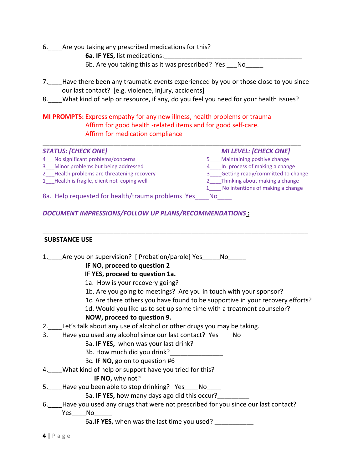- 6. Are you taking any prescribed medications for this?
	- **6a. IF YES, list medications:**
	- 6b. Are you taking this as it was prescribed? Yes No
- 7. Have there been any traumatic events experienced by you or those close to you since our last contact? [e.g. violence, injury, accidents]
- 8. What kind of help or resource, if any, do you feel you need for your health issues?

## **MI PROMPTS:** Express empathy for any new illness, health problems or trauma Affirm for good health -related items and for good self-care. Affirm for medication compliance

| <b>STATUS: [CHECK ONE]</b>                        |     | <b>MI LEVEL: [CHECK ONE]</b>           |
|---------------------------------------------------|-----|----------------------------------------|
| 4 No significant problems/concerns                |     | Maintaining positive change            |
| 3 Minor problems but being addressed              |     | 4 In process of making a change        |
| 2 Health problems are threatening recovery        |     | 3____Getting ready/committed to change |
| 1 Health is fragile, client not coping well       |     | 2 Thinking about making a change       |
|                                                   |     | 1 No intentions of making a change     |
| 8a. Help requested for health/trauma problems Yes | No. |                                        |

 $\overline{\phantom{a}}$  , and the contract of the contract of the contract of the contract of the contract of the contract of the contract of the contract of the contract of the contract of the contract of the contract of the contrac

## *DOCUMENT IMPRESSIONS/FOLLOW UP PLANS/RECOMMENDATIONS* **:**

#### **SUBSTANCE USE**

1. Are you on supervision? [ Probation/parole] Yes Allo **IF NO, proceed to question 2 IF YES, proceed to question 1a.** 1a. How is your recovery going? 1b. Are you going to meetings? Are you in touch with your sponsor? 1c. Are there others you have found to be supportive in your recovery efforts? 1d. Would you like us to set up some time with a treatment counselor? **NOW, proceed to question 9.** 2. Let's talk about any use of alcohol or other drugs you may be taking. 3. Have you used any alcohol since our last contact? Yes No 3a. **IF YES,** when was your last drink? 3b. How much did you drink?\_\_\_\_\_\_\_\_\_\_\_\_\_\_\_ 3c. **IF NO,** go on to question #6 4. What kind of help or support have you tried for this? **IF NO,** why not? 5. Have you been able to stop drinking? Yes No 5a. **IF YES,** how many days ago did this occur?\_\_\_\_\_\_\_\_\_ 6.\_\_\_\_Have you used any drugs that were not prescribed for you since our last contact? Yes\_\_\_\_No 6a**.IF YES,** when was the last time you used? \_\_\_\_\_\_\_\_\_\_\_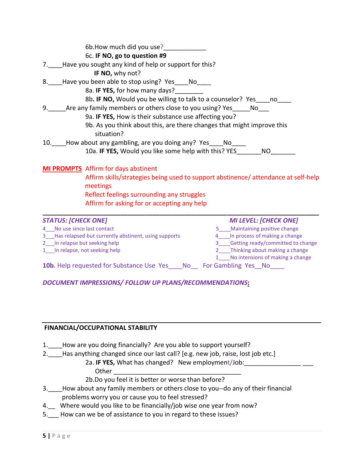| 6b. How much did you use?<br>6c. IF NO, go to question #9<br>7. Have you sought any kind of help or support for this?<br>IF NO, why not?<br>8. __Have you been able to stop using? Yes____No____<br>8a. <b>IF YES,</b> for how many days?<br>8b. IF NO, Would you be willing to talk to a counselor? Yes ____ no<br>9. Are any family members or others close to you using? Yes______ No___<br>9a. IF YES, How is their substance use affecting you?<br>9b. As you think about this, are there changes that might improve this<br>situation?<br>10. How about any gambling, are you doing any? Yes____No____<br>10a. IF YES, Would you like some help with this? YES_________ NO____ |                                                                                                                                                                                                                         |
|--------------------------------------------------------------------------------------------------------------------------------------------------------------------------------------------------------------------------------------------------------------------------------------------------------------------------------------------------------------------------------------------------------------------------------------------------------------------------------------------------------------------------------------------------------------------------------------------------------------------------------------------------------------------------------------|-------------------------------------------------------------------------------------------------------------------------------------------------------------------------------------------------------------------------|
| <b>MI PROMPTS</b> Affirm for days abstinent<br>meetings<br>Reflect feelings surrounding any struggles<br>Affirm for asking for or accepting any help                                                                                                                                                                                                                                                                                                                                                                                                                                                                                                                                 | Affirm skills/strategies being used to support abstinence/attendance at self-help                                                                                                                                       |
| <b>STATUS: [CHECK ONE]</b><br>4 No use since last contact<br>3 Has relapsed but currently abstinent, using supports<br>2 In relapse but seeking help<br>1 In relapse, not seeking help                                                                                                                                                                                                                                                                                                                                                                                                                                                                                               | <b>MI LEVEL: [CHECK ONE]</b><br>5____Maintaining positive change<br>4 In process of making a change<br>3 Getting ready/committed to change<br>2 Thinking about making a change<br>No intensions of making a change<br>1 |

10b. Help requested for Substance Use Yes\_\_\_\_No\_\_ For Gambling Yes\_\_No\_\_\_\_

*DOCUMENT IMPRESSIONS/ FOLLOW UP PLANS/RECOMMENDATIONS***:**

# **FINANCIAL/OCCUPATIONAL STABILITY**

- 1. How are you doing financially? Are you able to support yourself?
- 2. Has anything changed since our last call? [e.g. new job, raise, lost job etc.]
	- 2a. **IF YES,** What has changed? New employment/Job:\_\_\_\_\_\_\_\_\_\_\_\_\_\_\_\_ \_\_\_
		- Other
	- 2b.Do you feel it is better or worse than before?
- 3.\_\_\_\_How about any family members or others close to you--do any of their financial problems worry you or cause you to feel stressed?
- 4.\_\_ Where would you like to be financially/job wise one year from now?
- 5. How can we be of assistance to you in regard to these issues?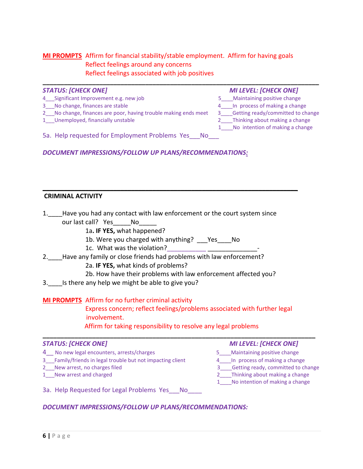# **MI PROMPTS** Affirm for financial stability/stable employment. Affirm for having goals Reflect feelings around any concerns Reflect feelings associated with job positives

| <b>STATUS: [CHECK ONE]</b>                                      | <b>MI LEVEL: [CHECK ONE]</b>         |
|-----------------------------------------------------------------|--------------------------------------|
| 4 Significant Improvement e.g. new job                          | 5 Maintaining positive change        |
| 3 No change, finances are stable                                | 4 In process of making a change      |
| 2 No change, finances are poor, having trouble making ends meet | 3 Getting ready/committed to change  |
| 1_Unemployed, financially unstable                              | 2_____Thinking about making a change |
|                                                                 | 1 No intention of making a change    |
| 5a. Help requested for Employment Problems Yes No               |                                      |

*DOCUMENT IMPRESSIONS/FOLLOW UP PLANS/RECOMMENDATIONS:*

#### **CRIMINAL ACTIVITY**

1.\_\_\_\_Have you had any contact with law enforcement or the court system since our last call? Yes\_\_\_\_\_No\_

**\_\_\_\_\_\_\_\_\_\_\_\_\_\_\_\_\_\_\_\_\_\_\_\_\_\_\_\_\_\_\_\_\_\_\_\_\_\_\_\_\_\_\_\_\_\_\_\_\_\_\_\_\_\_\_\_\_\_\_\_\_\_\_\_\_\_\_\_\_\_\_\_**

- 1a**. IF YES,** what happened?
- 1b. Were you charged with anything? \_\_\_Yes\_\_\_\_No
- 1c. What was the violation?
- 2. Have any family or close friends had problems with law enforcement?
	- 2a. **IF YES,** what kinds of problems?
	- 2b. How have their problems with law enforcement affected you?
- 3. Is there any help we might be able to give you?

## **MI PROMPTS** Affirm for no further criminal activity

Express concern; reflect feelings/problems associated with further legal involvement.

Affirm for taking responsibility to resolve any legal problems

**\_\_\_\_\_\_\_\_\_\_\_\_\_\_\_\_\_\_\_\_\_\_\_\_\_\_\_\_\_\_\_\_\_\_\_\_\_\_\_\_\_\_\_\_\_\_\_\_\_\_\_\_\_\_\_\_\_\_\_\_\_\_\_\_\_\_\_\_\_\_\_\_\_\_\_\_\_**

#### *STATUS: [CHECK ONE] MI LEVEL: [CHECK ONE]*

- 
- 4\_\_ No new legal encounters, arrests/charges <br>3 Tamily/friends in legal trouble but not impacting client 4 Theories of making a change 3 Family/friends in legal trouble but not impacting client
- 
- 

- 
- 
- 2 New arrest, no charges filed 3 Getting ready, committed to change
- 1\_\_\_New arrest and charged 2\_\_\_\_Thinking about making a change 1 No intention of making a change
- 3a. Help Requested for Legal Problems Yes No

# *DOCUMENT IMPRESSIONS/FOLLOW UP PLANS/RECOMMENDATIONS:*